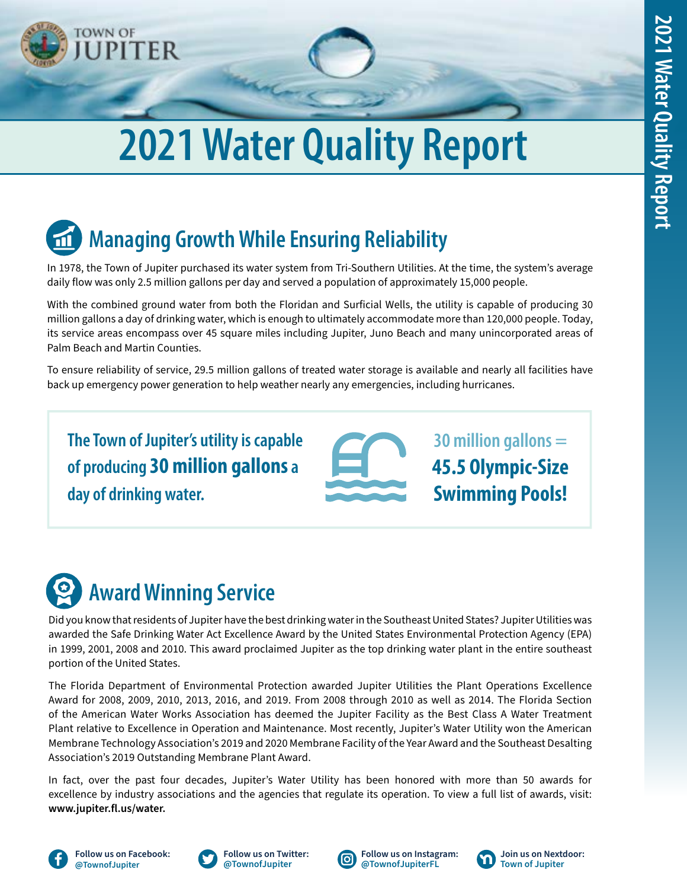

# **2021 Water Quality Report**

## **Managing Growth While Ensuring Reliability**

In 1978, the Town of Jupiter purchased its water system from Tri-Southern Utilities. At the time, the system's average daily flow was only 2.5 million gallons per day and served a population of approximately 15,000 people.

With the combined ground water from both the Floridan and Surficial Wells, the utility is capable of producing 30 million gallons a day of drinking water, which is enough to ultimately accommodate more than 120,000 people. Today, its service areas encompass over 45 square miles including Jupiter, Juno Beach and many unincorporated areas of Palm Beach and Martin Counties.

To ensure reliability of service, 29.5 million gallons of treated water storage is available and nearly all facilities have back up emergency power generation to help weather nearly any emergencies, including hurricanes.

**The Town of Jupiter's utility is capable of producing 30 million gallons a day of drinking water.**

**30 million gallons = 45.5 Olympic-Size Swimming Pools!**

## **Award Winning Service**

Did you know that residents of Jupiter have the best drinking water in the Southeast United States? Jupiter Utilities was awarded the Safe Drinking Water Act Excellence Award by the United States Environmental Protection Agency (EPA) in 1999, 2001, 2008 and 2010. This award proclaimed Jupiter as the top drinking water plant in the entire southeast portion of the United States.

The Florida Department of Environmental Protection awarded Jupiter Utilities the Plant Operations Excellence Award for 2008, 2009, 2010, 2013, 2016, and 2019. From 2008 through 2010 as well as 2014. The Florida Section of the American Water Works Association has deemed the Jupiter Facility as the Best Class A Water Treatment Plant relative to Excellence in Operation and Maintenance. Most recently, Jupiter's Water Utility won the American Membrane Technology Association's 2019 and 2020 Membrane Facility of the Year Award and the Southeast Desalting Association's 2019 Outstanding Membrane Plant Award.

In fact, over the past four decades, Jupiter's Water Utility has been honored with more than 50 awards for excellence by industry associations and the agencies that regulate its operation. To view a full list of awards, visit: **[www.jupiter.fl.us/water.](http://www.jupiter.fl.us/water)**





**[Follow us on Twitter:](https://twitter.com/townofjupiter) @TownofJupiter**





**[Join us on Nextdoor:](https://nextdoor.com/) Town of Jupiter**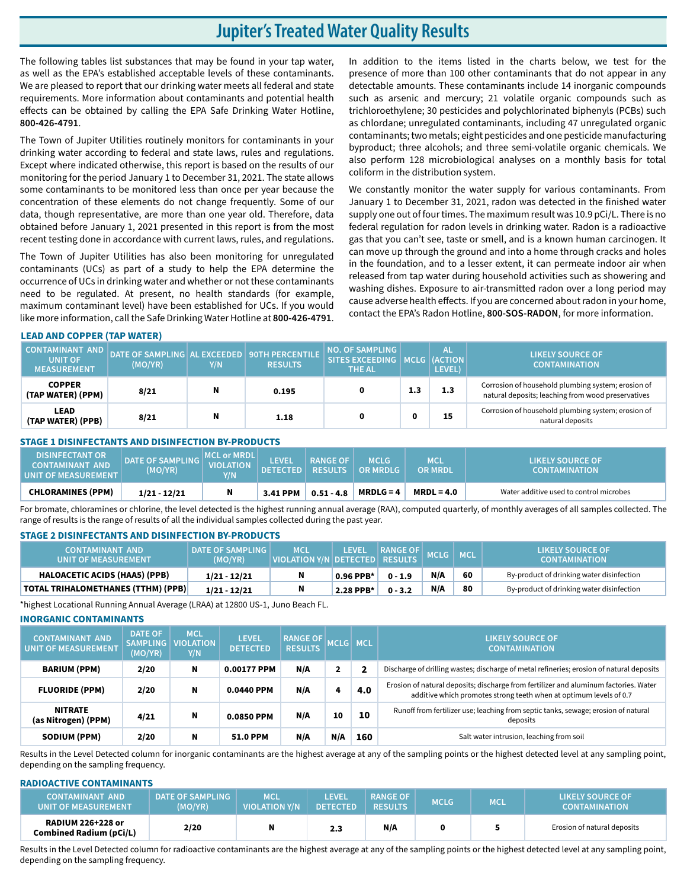## **Jupiter's Treated Water Quality Results**

The following tables list substances that may be found in your tap water, as well as the EPA's established acceptable levels of these contaminants. We are pleased to report that our drinking water meets all federal and state requirements. More information about contaminants and potential health effects can be obtained by calling the EPA Safe Drinking Water Hotline, **800-426-4791**.

The Town of Jupiter Utilities routinely monitors for contaminants in your drinking water according to federal and state laws, rules and regulations. Except where indicated otherwise, this report is based on the results of our monitoring for the period January 1 to December 31, 2021. The state allows some contaminants to be monitored less than once per year because the concentration of these elements do not change frequently. Some of our data, though representative, are more than one year old. Therefore, data obtained before January 1, 2021 presented in this report is from the most recent testing done in accordance with current laws, rules, and regulations.

The Town of Jupiter Utilities has also been monitoring for unregulated contaminants (UCs) as part of a study to help the EPA determine the occurrence of UCs in drinking water and whether or not these contaminants need to be regulated. At present, no health standards (for example, maximum contaminant level) have been established for UCs. If you would like more information, call the Safe Drinking Water Hotline at **800-426-4791**.

In addition to the items listed in the charts below, we test for the presence of more than 100 other contaminants that do not appear in any detectable amounts. These contaminants include 14 inorganic compounds such as arsenic and mercury; 21 volatile organic compounds such as trichloroethylene; 30 pesticides and polychlorinated biphenyls (PCBs) such as chlordane; unregulated contaminants, including 47 unregulated organic contaminants; two metals; eight pesticides and one pesticide manufacturing byproduct; three alcohols; and three semi-volatile organic chemicals. We also perform 128 microbiological analyses on a monthly basis for total coliform in the distribution system.

We constantly monitor the water supply for various contaminants. From January 1 to December 31, 2021, radon was detected in the finished water supply one out of four times. The maximum result was 10.9 pCi/L. There is no federal regulation for radon levels in drinking water. Radon is a radioactive gas that you can't see, taste or smell, and is a known human carcinogen. It can move up through the ground and into a home through cracks and holes in the foundation, and to a lesser extent, it can permeate indoor air when released from tap water during household activities such as showering and washing dishes. Exposure to air-transmitted radon over a long period may cause adverse health effects. If you are concerned about radon in your home, contact the EPA's Radon Hotline, **800-SOS-RADON**, for more information.

#### **LEAD AND COPPER (TAP WATER)**

| <b>CONTAMINANT AND</b><br><b>UNIT OF</b><br><b>MEASUREMENT</b> | DATE OF SAMPLING AL EXCEEDED   90TH PERCENTILE  <br>(MO/YR) | Y/N | <b>RESULTS</b> | NO. OF SAMPLING I<br>SITES EXCEEDING   MCLG   (ACTION  <br><b>THE AL</b> |     | <b>AL</b><br>LEVEL) | <b>LIKELY SOURCE OF</b><br><b>CONTAMINATION</b>                                                          |
|----------------------------------------------------------------|-------------------------------------------------------------|-----|----------------|--------------------------------------------------------------------------|-----|---------------------|----------------------------------------------------------------------------------------------------------|
| <b>COPPER</b><br>(TAP WATER) (PPM)                             | 8/21                                                        | N   | 0.195          |                                                                          | 1.3 | 1.3                 | Corrosion of household plumbing system; erosion of<br>natural deposits; leaching from wood preservatives |
| <b>LEAD</b><br>(TAP WATER) (PPB)                               | 8/21                                                        | N   | 1.18           | 0                                                                        | o   | 15                  | Corrosion of household plumbing system; erosion of<br>natural deposits                                   |

#### **STAGE 1 DISINFECTANTS AND DISINFECTION BY-PRODUCTS**

| <b>DISINFECTANT OR</b><br><b>CONTAMINANT AND</b><br><b>UNIT OF MEASUREMENT</b> | <b>DATE OF SAMPLING</b><br>(MO/YR) | <b>MCL or MRDL</b><br><b>VIOLATION</b><br>VN. | <b>LEVEL</b><br><b>DETECTED</b> | <b>RANGE OF</b><br><b>RESULTS</b> | <b>MCLG</b><br>$\overline{\phantom{a}}$ OR MRDLG | <b>MCL</b><br><b>OR MRDL</b> | 'LIKELY SOURCE OF.<br><b>CONTAMINATION</b> |
|--------------------------------------------------------------------------------|------------------------------------|-----------------------------------------------|---------------------------------|-----------------------------------|--------------------------------------------------|------------------------------|--------------------------------------------|
| <b>CHLORAMINES (PPM)</b>                                                       | $1/21 - 12/21$                     | N                                             | $3.41$ PPM                      | $0.51 - 4.8$                      | $MRDLG = 4$                                      | $MRDL = 4.0$                 | Water additive used to control microbes    |

For bromate, chloramines or chlorine, the level detected is the highest running annual average (RAA), computed quarterly, of monthly averages of all samples collected. The range of results is the range of results of all the individual samples collected during the past year.

#### **STAGE 2 DISINFECTANTS AND DISINFECTION BY-PRODUCTS**

| <b>CONTAMINANT AND</b><br><b>LUNIT OF MEASUREMENT</b> | <b>DATE OF SAMPLING</b><br>(MO/YR) | <b>MCL</b><br>VIOLATION Y/N DETECTED RESULTS | <b>LEVEL</b> | RANGE OF MCLG |     | <b>MCL</b> | LIKELY SOURCE OF<br><b>CONTAMINATION</b>  |
|-------------------------------------------------------|------------------------------------|----------------------------------------------|--------------|---------------|-----|------------|-------------------------------------------|
| <b>HALOACETIC ACIDS (HAA5) (PPB)</b>                  | $1/21 - 12/21$                     | N                                            | 0.96 PPB*    | $0 - 1.9$     | N/A | 60         | By-product of drinking water disinfection |
| <b>TOTAL TRIHALOMETHANES (TTHM) (PPB)</b>             | $1/21 - 12/21$                     | N                                            | 2.28 PPB*    | $0 - 3.2$     | N/A | 80         | By-product of drinking water disinfection |

\*highest Locational Running Annual Average (LRAA) at 12800 US-1, Juno Beach FL.

#### **INORGANIC CONTAMINANTS**

| <b>CONTAMINANT AND</b><br><b>UNIT OF MEASUREMENT</b> | <b>DATE OF</b><br><b>SAMPLING</b><br>(MO/YR) | <b>MCL</b><br><b>VIOLATION</b><br>Y/N | <b>LEVEL</b><br><b>DETECTED</b> | <b>RANGE OF</b><br><b>RESULTS</b> | <b>MCLG</b>  | <b>MCL</b> | <b>LIKELY SOURCE OF</b><br><b>CONTAMINATION</b>                                                                                                            |  |  |  |
|------------------------------------------------------|----------------------------------------------|---------------------------------------|---------------------------------|-----------------------------------|--------------|------------|------------------------------------------------------------------------------------------------------------------------------------------------------------|--|--|--|
| <b>BARIUM (PPM)</b>                                  | 2/20                                         | N                                     | 0.00177 PPM                     | N/A                               | $\mathbf{2}$ |            | Discharge of drilling wastes; discharge of metal refineries; erosion of natural deposits                                                                   |  |  |  |
| <b>FLUORIDE (PPM)</b>                                | 2/20                                         | N                                     | 0.0440 PPM                      | N/A                               | 4            | 4.0        | Erosion of natural deposits; discharge from fertilizer and aluminum factories. Water<br>additive which promotes strong teeth when at optimum levels of 0.7 |  |  |  |
| <b>NITRATE</b><br>(as Nitrogen) (PPM)                | 4/21                                         | N                                     | 0.0850 PPM                      | N/A                               | 10           | 10         | Runoff from fertilizer use; leaching from septic tanks, sewage; erosion of natural<br>deposits                                                             |  |  |  |
| <b>SODIUM (PPM)</b>                                  | 2/20                                         | N                                     | <b>51.0 PPM</b>                 | N/A                               | N/A          | 160        | Salt water intrusion, leaching from soil                                                                                                                   |  |  |  |

Results in the Level Detected column for inorganic contaminants are the highest average at any of the sampling points or the highest detected level at any sampling point, depending on the sampling frequency.

#### **RADIOACTIVE CONTAMINANTS**

| LCONTAMINANT AND<br>UNIT OF MEASUREMENT                    | <b>DATE OF SAMPLING</b><br>(MO/YR) | MCD<br><b>VIOLATION Y/N</b> | LEVEL<br><b>DETECTED</b> | <b>RANGE OF</b><br><b>RESULTS</b> | <b>MCLG</b> | MCL | LIKELY SOURCE OF<br><b>CONTAMINATION</b> |
|------------------------------------------------------------|------------------------------------|-----------------------------|--------------------------|-----------------------------------|-------------|-----|------------------------------------------|
| <b>RADIUM 226+228 or</b><br><b>Combined Radium (pCi/L)</b> | 2/20                               |                             | 2.3                      | N/A                               |             |     | Erosion of natural deposits              |

Results in the Level Detected column for radioactive contaminants are the highest average at any of the sampling points or the highest detected level at any sampling point, depending on the sampling frequency.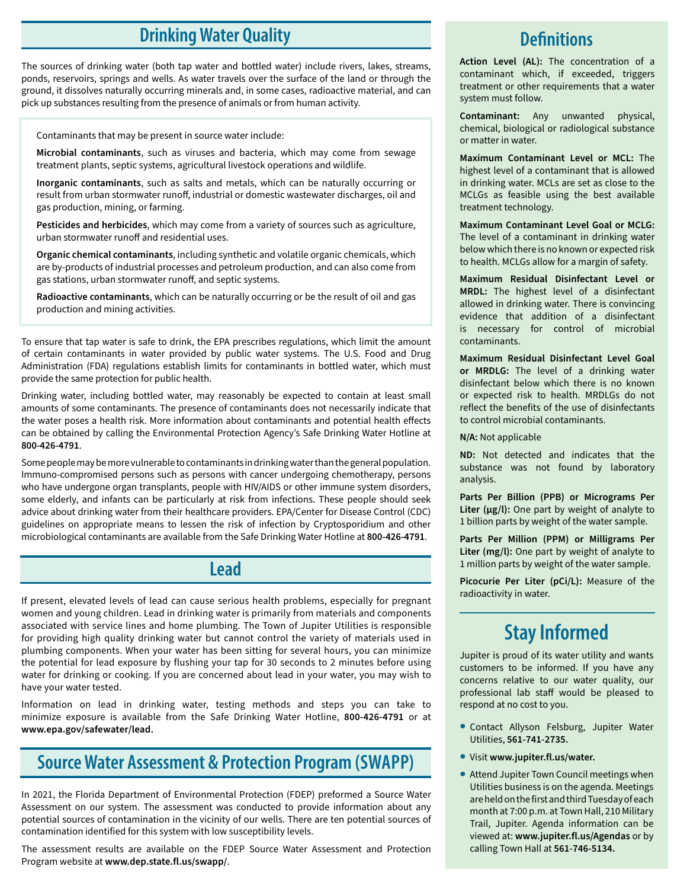## **Drinking Water Quality**

The sources of drinking water (both tap water and bottled water) include rivers, lakes, streams, ponds, reservoirs, springs and wells. As water travels over the surface of the land or through the ground, it dissolves naturally occurring minerals and, in some cases, radioactive material, and can pick up substances resulting from the presence of animals or from human activity.

Contaminants that may be present in source water include:

**Microbial contaminants**, such as viruses and bacteria, which may come from sewage treatment plants, septic systems, agricultural livestock operations and wildlife.

**Inorganic contaminants**, such as salts and metals, which can be naturally occurring or result from urban stormwater runoff, industrial or domestic wastewater discharges, oil and gas production, mining, or farming.

**Pesticides and herbicides**, which may come from a variety of sources such as agriculture, urban stormwater runoff and residential uses.

**Organic chemical contaminants**, including synthetic and volatile organic chemicals, which are by-products of industrial processes and petroleum production, and can also come from gas stations, urban stormwater runoff, and septic systems.

**Radioactive contaminants**, which can be naturally occurring or be the result of oil and gas production and mining activities.

To ensure that tap water is safe to drink, the EPA prescribes regulations, which limit the amount of certain contaminants in water provided by public water systems. The U.S. Food and Drug Administration (FDA) regulations establish limits for contaminants in bottled water, which must provide the same protection for public health.

Drinking water, including bottled water, may reasonably be expected to contain at least small amounts of some contaminants. The presence of contaminants does not necessarily indicate that the water poses a health risk. More information about contaminants and potential health effects can be obtained by calling the Environmental Protection Agency's Safe Drinking Water Hotline at **800-426-4791**.

Some people may be more vulnerable to contaminants in drinking water than the general population. Immuno-compromised persons such as persons with cancer undergoing chemotherapy, persons who have undergone organ transplants, people with HIV/AIDS or other immune system disorders, some elderly, and infants can be particularly at risk from infections. These people should seek advice about drinking water from their healthcare providers. EPA/Center for Disease Control (CDC) guidelines on appropriate means to lessen the risk of infection by Cryptosporidium and other microbiological contaminants are available from the Safe Drinking Water Hotline at **800-426-4791**.

### **Lead**

If present, elevated levels of lead can cause serious health problems, especially for pregnant women and young children. Lead in drinking water is primarily from materials and components associated with service lines and home plumbing. The Town of Jupiter Utilities is responsible for providing high quality drinking water but cannot control the variety of materials used in plumbing components. When your water has been sitting for several hours, you can minimize the potential for lead exposure by flushing your tap for 30 seconds to 2 minutes before using water for drinking or cooking. If you are concerned about lead in your water, you may wish to have your water tested.

Information on lead in drinking water, testing methods and steps you can take to minimize exposure is available from the Safe Drinking Water Hotline, **800-426-4791** or at **www.epa.gov/safewater/lead.**

## **Source Water Assessment & Protection Program (SWAPP)**

In 2021, the Florida Department of Environmental Protection (FDEP) preformed a Source Water Assessment on our system. The assessment was conducted to provide information about any potential sources of contamination in the vicinity of our wells. There are ten potential sources of contamination identified for this system with low susceptibility levels.

The assessment results are available on the FDEP Source Water Assessment and Protection Program website at **www.dep.state.fl.us/swapp/**.

## **Definitions**

**Action Level (AL):** The concentration of a contaminant which, if exceeded, triggers treatment or other requirements that a water system must follow.

**Contaminant:** Any unwanted physical, chemical, biological or radiological substance or matter in water.

**Maximum Contaminant Level or MCL:** The highest level of a contaminant that is allowed in drinking water. MCLs are set as close to the MCLGs as feasible using the best available treatment technology.

**Maximum Contaminant Level Goal or MCLG:**  The level of a contaminant in drinking water below which there is no known or expected risk to health. MCLGs allow for a margin of safety.

**Maximum Residual Disinfectant Level or MRDL:** The highest level of a disinfectant allowed in drinking water. There is convincing evidence that addition of a disinfectant is necessary for control of microbial contaminants.

**Maximum Residual Disinfectant Level Goal or MRDLG:** The level of a drinking water disinfectant below which there is no known or expected risk to health. MRDLGs do not reflect the benefits of the use of disinfectants to control microbial contaminants.

**N/A:** Not applicable

**ND:** Not detected and indicates that the substance was not found by laboratory analysis.

**Parts Per Billion (PPB) or Micrograms Per Liter (µg/l):** One part by weight of analyte to 1 billion parts by weight of the water sample.

**Parts Per Million (PPM) or Milligrams Per Liter (mg/l):** One part by weight of analyte to 1 million parts by weight of the water sample.

**Picocurie Per Liter (pCi/L):** Measure of the radioactivity in water.

## **Stay Informed**

Jupiter is proud of its water utility and wants customers to be informed. If you have any concerns relative to our water quality, our professional lab staff would be pleased to respond at no cost to you.

- Contact Allyson Felsburg, Jupiter Water Utilities, **561-741-2735.**
- Visit **www.jupiter.fl.us/water.**
- Attend Jupiter Town Council meetings when Utilities business is on the agenda. Meetings are held on the first and third Tuesday of each month at 7:00 p.m. at Town Hall, 210 Military Trail, Jupiter. Agenda information can be viewed at: **www.jupiter.fl.us/Agendas** or by calling Town Hall at **561-746-5134.**